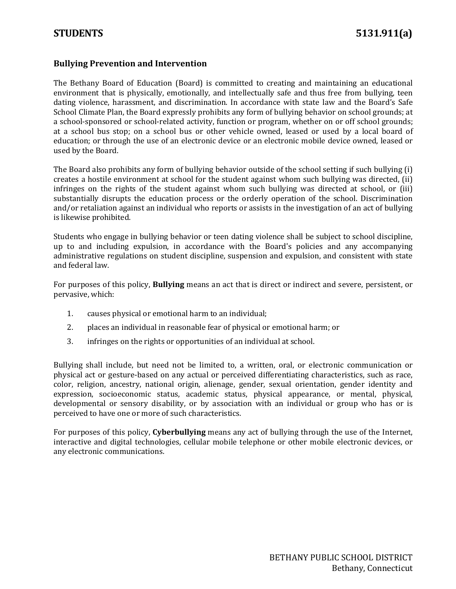## **Bullying Prevention and Intervention**

The Bethany Board of Education (Board) is committed to creating and maintaining an educational environment that is physically, emotionally, and intellectually safe and thus free from bullying, teen dating violence, harassment, and discrimination. In accordance with state law and the Board's Safe School Climate Plan, the Board expressly prohibits any form of bullying behavior on school grounds; at a school-sponsored or school-related activity, function or program, whether on or off school grounds; at a school bus stop; on a school bus or other vehicle owned, leased or used by a local board of education; or through the use of an electronic device or an electronic mobile device owned, leased or used by the Board.

The Board also prohibits any form of bullying behavior outside of the school setting if such bullying (i) creates a hostile environment at school for the student against whom such bullying was directed, (ii) infringes on the rights of the student against whom such bullying was directed at school, or (iii) substantially disrupts the education process or the orderly operation of the school. Discrimination and/or retaliation against an individual who reports or assists in the investigation of an act of bullying is likewise prohibited.

Students who engage in bullying behavior or teen dating violence shall be subject to school discipline, up to and including expulsion, in accordance with the Board's policies and any accompanying administrative regulations on student discipline, suspension and expulsion, and consistent with state and federal law.

For purposes of this policy, **Bullying** means an act that is direct or indirect and severe, persistent, or pervasive, which:

- 1. causes physical or emotional harm to an individual;
- 2. places an individual in reasonable fear of physical or emotional harm; or
- 3. infringes on the rights or opportunities of an individual at school.

Bullying shall include, but need not be limited to, a written, oral, or electronic communication or physical act or gesture-based on any actual or perceived differentiating characteristics, such as race, color, religion, ancestry, national origin, alienage, gender, sexual orientation, gender identity and expression, socioeconomic status, academic status, physical appearance, or mental, physical, developmental or sensory disability, or by association with an individual or group who has or is perceived to have one or more of such characteristics.

For purposes of this policy, **Cyberbullying** means any act of bullying through the use of the Internet, interactive and digital technologies, cellular mobile telephone or other mobile electronic devices, or any electronic communications.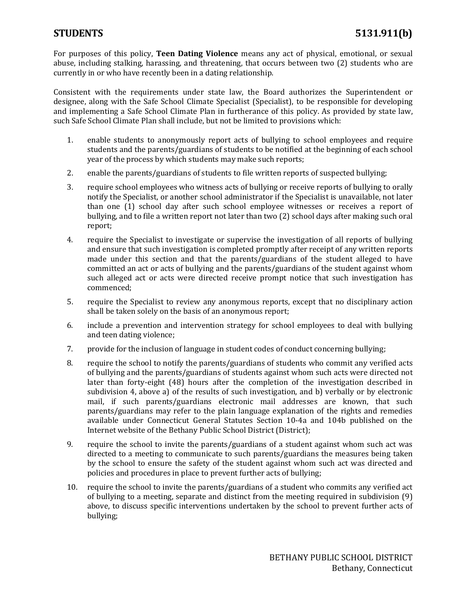For purposes of this policy, **Teen Dating Violence** means any act of physical, emotional, or sexual abuse, including stalking, harassing, and threatening, that occurs between two (2) students who are currently in or who have recently been in a dating relationship.

Consistent with the requirements under state law, the Board authorizes the Superintendent or designee, along with the Safe School Climate Specialist (Specialist), to be responsible for developing and implementing a Safe School Climate Plan in furtherance of this policy. As provided by state law, such Safe School Climate Plan shall include, but not be limited to provisions which:

- 1. enable students to anonymously report acts of bullying to school employees and require students and the parents/guardians of students to be notified at the beginning of each school year of the process by which students may make such reports;
- 2. enable the parents/guardians of students to file written reports of suspected bullying;
- 3. require school employees who witness acts of bullying or receive reports of bullying to orally notify the Specialist, or another school administrator if the Specialist is unavailable, not later than one (1) school day after such school employee witnesses or receives a report of bullying, and to file a written report not later than two (2) school days after making such oral report;
- 4. require the Specialist to investigate or supervise the investigation of all reports of bullying and ensure that such investigation is completed promptly after receipt of any written reports made under this section and that the parents/guardians of the student alleged to have committed an act or acts of bullying and the parents/guardians of the student against whom such alleged act or acts were directed receive prompt notice that such investigation has commenced;
- 5. require the Specialist to review any anonymous reports, except that no disciplinary action shall be taken solely on the basis of an anonymous report;
- 6. include a prevention and intervention strategy for school employees to deal with bullying and teen dating violence;
- 7. provide for the inclusion of language in student codes of conduct concerning bullying;
- 8. require the school to notify the parents/guardians of students who commit any verified acts of bullying and the parents/guardians of students against whom such acts were directed not later than forty-eight (48) hours after the completion of the investigation described in subdivision 4, above a) of the results of such investigation, and b) verbally or by electronic mail, if such parents/guardians electronic mail addresses are known, that such parents/guardians may refer to the plain language explanation of the rights and remedies available under Connecticut General Statutes Section 10-4a and 104b published on the Internet website of the Bethany Public School District (District);
- 9. require the school to invite the parents/guardians of a student against whom such act was directed to a meeting to communicate to such parents/guardians the measures being taken by the school to ensure the safety of the student against whom such act was directed and policies and procedures in place to prevent further acts of bullying;
- 10. require the school to invite the parents/guardians of a student who commits any verified act of bullying to a meeting, separate and distinct from the meeting required in subdivision (9) above, to discuss specific interventions undertaken by the school to prevent further acts of bullying;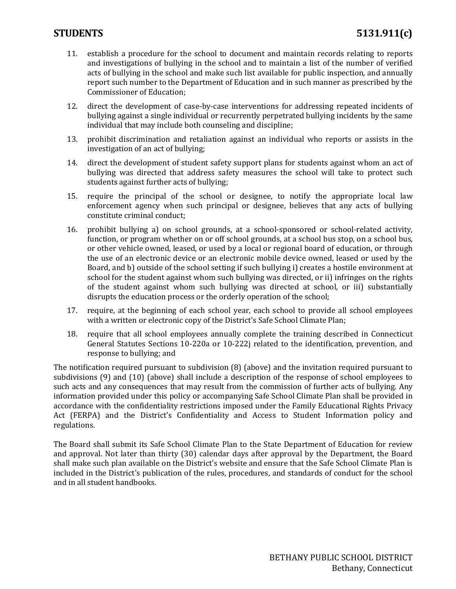- 11. establish a procedure for the school to document and maintain records relating to reports and investigations of bullying in the school and to maintain a list of the number of verified acts of bullying in the school and make such list available for public inspection, and annually report such number to the Department of Education and in such manner as prescribed by the Commissioner of Education;
- 12. direct the development of case-by-case interventions for addressing repeated incidents of bullying against a single individual or recurrently perpetrated bullying incidents by the same individual that may include both counseling and discipline;
- 13. prohibit discrimination and retaliation against an individual who reports or assists in the investigation of an act of bullying;
- 14. direct the development of student safety support plans for students against whom an act of bullying was directed that address safety measures the school will take to protect such students against further acts of bullying;
- 15. require the principal of the school or designee, to notify the appropriate local law enforcement agency when such principal or designee, believes that any acts of bullying constitute criminal conduct;
- 16. prohibit bullying a) on school grounds, at a school-sponsored or school-related activity, function, or program whether on or off school grounds, at a school bus stop, on a school bus, or other vehicle owned, leased, or used by a local or regional board of education, or through the use of an electronic device or an electronic mobile device owned, leased or used by the Board, and b) outside of the school setting if such bullying i) creates a hostile environment at school for the student against whom such bullying was directed, or ii) infringes on the rights of the student against whom such bullying was directed at school, or iii) substantially disrupts the education process or the orderly operation of the school;
- 17. require, at the beginning of each school year, each school to provide all school employees with a written or electronic copy of the District's Safe School Climate Plan;
- 18. require that all school employees annually complete the training described in Connecticut General Statutes Sections 10-220a or 10-222j related to the identification, prevention, and response to bullying; and

The notification required pursuant to subdivision (8) (above) and the invitation required pursuant to subdivisions (9) and (10) (above) shall include a description of the response of school employees to such acts and any consequences that may result from the commission of further acts of bullying. Any information provided under this policy or accompanying Safe School Climate Plan shall be provided in accordance with the confidentiality restrictions imposed under the Family Educational Rights Privacy Act (FERPA) and the District's Confidentiality and Access to Student Information policy and regulations.

The Board shall submit its Safe School Climate Plan to the State Department of Education for review and approval. Not later than thirty (30) calendar days after approval by the Department, the Board shall make such plan available on the District's website and ensure that the Safe School Climate Plan is included in the District's publication of the rules, procedures, and standards of conduct for the school and in all student handbooks.